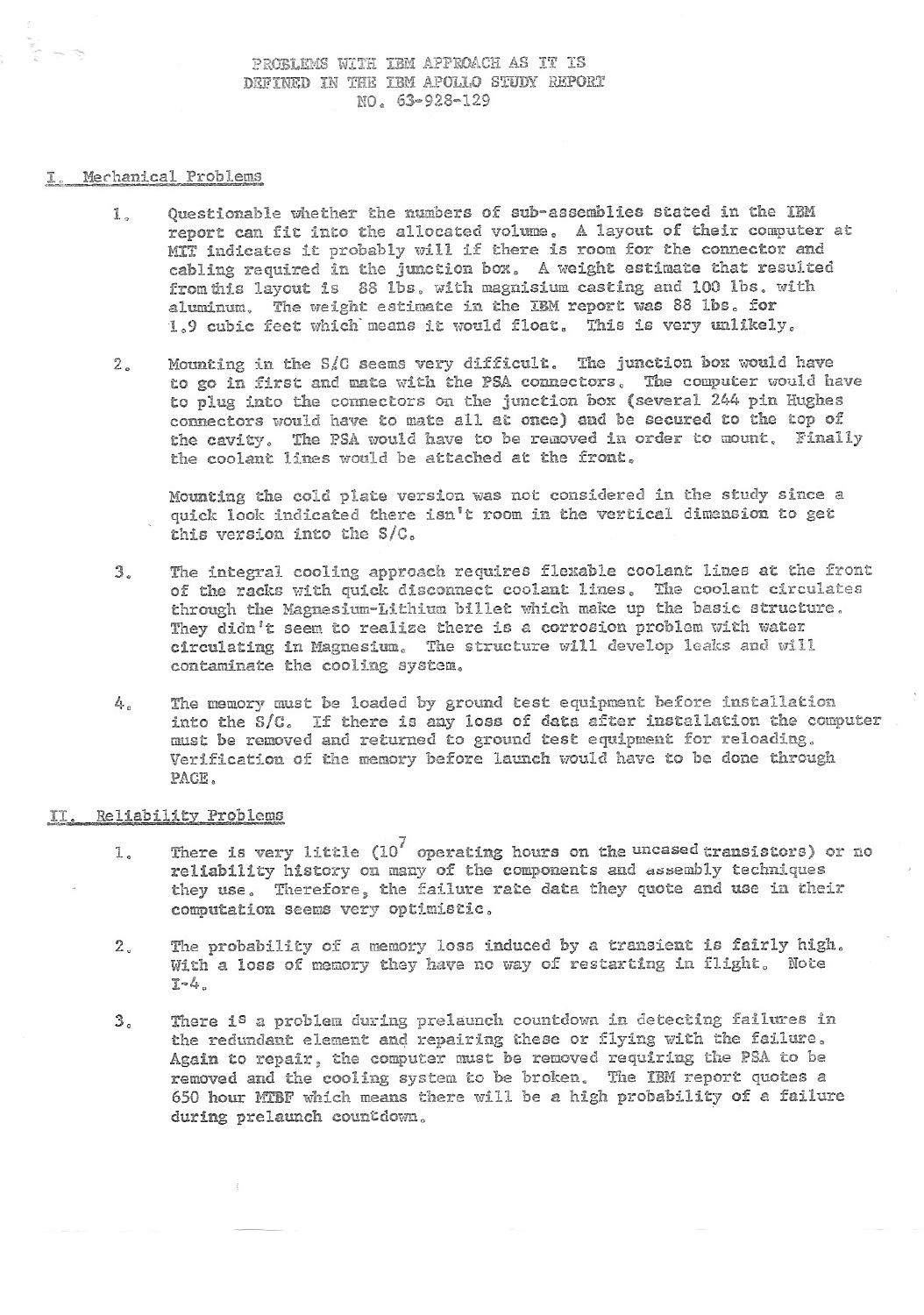PROBLEMS WITH IBM APPROACH AS IT IS DEFINED IN THE IBM APOLLO STUDY REPORT NO. 63-928-129

## Mechanical Problems

- 1, Questionable whether the numbers of sub-assemblies stated in the IBM report can fit into the allocated volume. A layout of their computer at MIT indicates it probably will if there is room for the connector and cabling required in the junction box. A weight estimate that resulted from this layout is 88 lbs. with magnisium casting and 100 lbs. with aluminum. The weight estimate in the **IBM** report was 88 lbs. for 1.9 cubic feet which: means it would float. This is very unlikely.
- 2. Mounting in the SIC seems very difficult. The junction box would have to go in first and mate with the PSA connectors, The computer would have to plug into the connectors on the junction box (several 244 pin Hughes connectors would have to mate all at once) and be secured to the top of the cavity. The PSA would have to be removed in order to mount. Finally the coolant lines would be attached at the front,

Mounting the cold plate version was not considered in the study since a quick look indicated there isn't room in the vertical dimension to get this version into the S/C.

- 3. The integral cooling approach requires flexable coolant lines at the front of the racks with quick disconnect coolant lines. The coolant circulates through the Magnesium-Lithium billet which make up the basic structure. They didn't seem to realize there is a corrosion problem with water circulating in Magnesium. The structure will develop leaks and will contaminate the cooling system.
- 4. The memory must be loaded by ground test equipment before installation into the S/C. If there is any loss of data after installation the computer must be removed and returned to ground test equipment for reloading. Verification of the memory before launch would have to be done through PACE.

## II. Reliability Problems

- 1. There is very little (10 7 operating hours **on** the uncased transistors) or no reliability history on many of the components and aaeembly techniques they use. Therefore, the failure rate data they quote and use in their computation seems very optimistic.
- 2, The probability of a memory loss induced by a transient is fairly high. With a loss of memory they have no way of restarting in flight. Note 1-4,
- 3, There is a problem during prelaunch countdown in detecting failures in the redundant element and repairing these or flying with the failure. Again to repair, the computer must be removed requiring the PSA to be removed and the cooling system to be broken. The IBM report quotes a 650 hour MTBF which means there will be a high probability of a failure during prelaunch countdown.